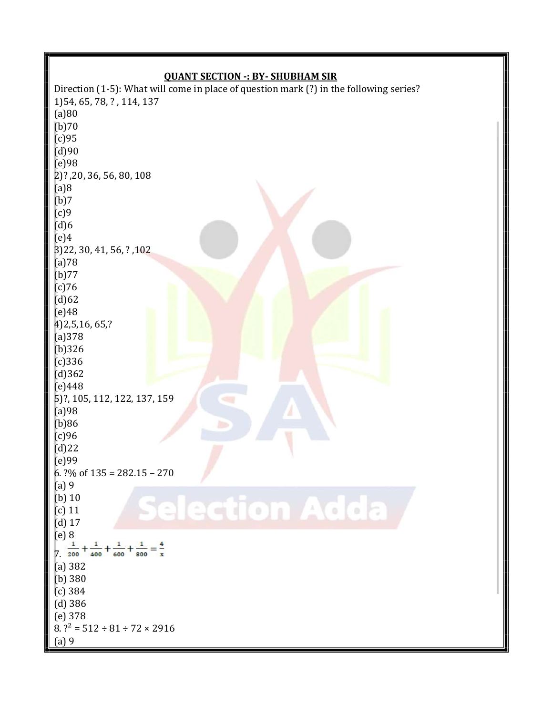## QUANT SECTION -: BY- SHUBHAM SIR

Direction (1-5): What will come in place of question mark (?) in the following series? 1)54, 65, 78, ? , 114, 137 (a)80  $(b)70$ (c)95 (d)90 (e)98 2)? ,20, 36, 56, 80, 108 (a)8 (b)7 (c)9  $(d)6$ (e)4 3)22, 30, 41, 56, ? ,102 (a)78 (b)77 (c)76  $(d)62$ (e)48 4)2,5,16, 65,? (a)378 (b)326 (c)336 (d)362 (e)448 5)?, 105, 112, 122, 137, 159 (a)98 (b)86 (c)96 (d)22 (e)99 6. ?% of  $135 = 282.15 - 270$ (a) 9 **lection Adda** (b) 10  $\equiv$ (c) 11 (d) 17 (e) 8  $\frac{1}{7}$ ,  $\frac{1}{200} + \frac{1}{400} + \frac{1}{600} + \frac{1}{800} = \frac{4}{x}$ (a) 382 (b) 380 (c) 384 (d) 386 (e) 378  $8. ?^2 = 512 \div 81 \div 72 \times 2916$ (a) 9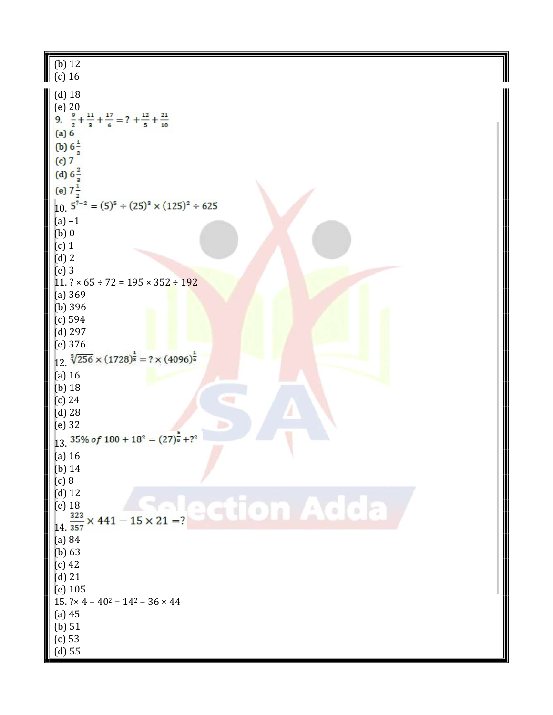| $(b)$ 12<br>$(c)$ 16                                                                                                                                                                                 |
|------------------------------------------------------------------------------------------------------------------------------------------------------------------------------------------------------|
| $(d)$ 18<br>$(e)$ 20<br>9. $\frac{9}{2} + \frac{11}{3} + \frac{17}{6} = ? + \frac{12}{5} + \frac{21}{10}$<br>(a) 6<br>(b) $6\frac{1}{2}$<br>(c)7                                                     |
| (d) $6\frac{2}{3}$<br>(e) $7\frac{1}{2}$<br>$10.5^{7-2} = (5)^5 \div (25)^3 \times (125)^2 \div 625$                                                                                                 |
| $(a) -1$<br>$(b)$ 0<br>$(c)$ 1<br>$(d)$ 2                                                                                                                                                            |
| $(e)$ 3<br>$11.? \times 65 \div 72 = 195 \times 352 \div 192$<br>(a) 369<br>$(b)$ 396                                                                                                                |
| (c) 594<br>$(d)$ 297<br>$(e)$ 376                                                                                                                                                                    |
| $12. \sqrt[3]{256} \times (1728)^{\frac{1}{8}} = ? \times (4096)^{\frac{1}{4}}$<br>$(a)$ 16<br>$(b)$ 18<br>$(c)$ 24<br>$(d)$ 28<br>$(e)$ 32<br>13. $35\%$ of $180 + 18^2 = (27)^{\frac{5}{8}} + ?^2$ |
| $(a)$ 16<br>$(b)$ 14                                                                                                                                                                                 |
| (c) 8<br>$(d)$ 12<br>$(e)$ 18<br>14665<br>$\bullet$<br>$\frac{323}{357} \times 441 - 15 \times 21 = ?$                                                                                               |
| (a) 84<br>(b) 63<br>$(c)$ 42<br>$(d)$ 21                                                                                                                                                             |
| $(e)$ 105<br>$15.$ ?× 4 – 40 <sup>2</sup> = 14 <sup>2</sup> – 36 × 44<br>$(a)$ 45                                                                                                                    |
| (b) 51<br>$(c)$ 53<br>$(d)$ 55                                                                                                                                                                       |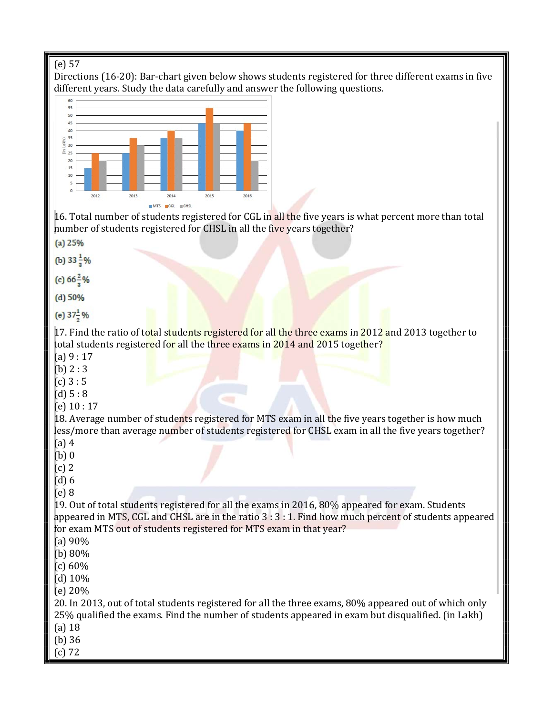# (e) 57

Directions (16-20): Bar-chart given below shows students registered for three different exams in five different years. Study the data carefully and answer the following questions.



16. Total number of students registered for CGL in all the five years is what percent more than total number of students registered for CHSL in all the five years together?

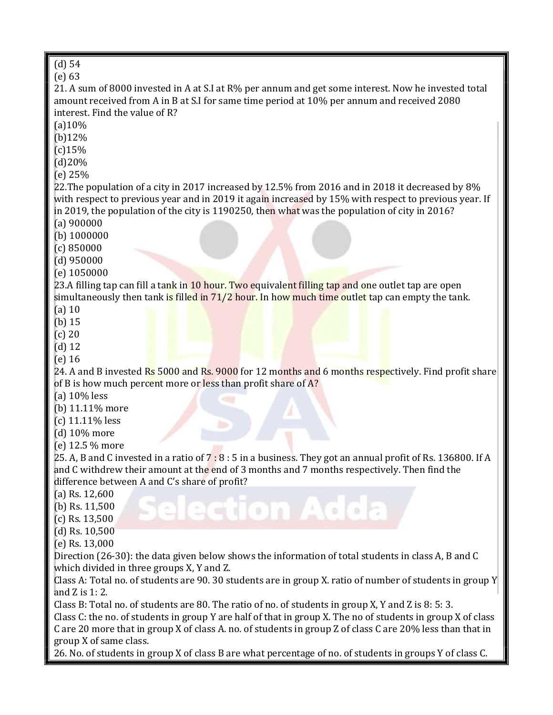| $(d)$ 54                                                                                                    |  |  |  |  |  |
|-------------------------------------------------------------------------------------------------------------|--|--|--|--|--|
| $(e)$ 63                                                                                                    |  |  |  |  |  |
| 21. A sum of 8000 invested in A at S.I at R% per annum and get some interest. Now he invested total         |  |  |  |  |  |
| amount received from A in B at S.I for same time period at 10% per annum and received 2080                  |  |  |  |  |  |
| interest. Find the value of R?                                                                              |  |  |  |  |  |
| (a)10%                                                                                                      |  |  |  |  |  |
| (b)12%                                                                                                      |  |  |  |  |  |
| $(c)$ 15%                                                                                                   |  |  |  |  |  |
| (d)20%                                                                                                      |  |  |  |  |  |
| (e) 25%                                                                                                     |  |  |  |  |  |
| 22. The population of a city in 2017 increased by 12.5% from 2016 and in 2018 it decreased by 8%            |  |  |  |  |  |
| with respect to previous year and in 2019 it again increased by 15% with respect to previous year. If       |  |  |  |  |  |
| in 2019, the population of the city is 1190250, then what was the population of city in 2016?               |  |  |  |  |  |
| $(a)$ 900000                                                                                                |  |  |  |  |  |
| $(b)$ 1000000                                                                                               |  |  |  |  |  |
| (c) 850000                                                                                                  |  |  |  |  |  |
| $(d)$ 950000                                                                                                |  |  |  |  |  |
| $(e)$ 1050000                                                                                               |  |  |  |  |  |
| 23.A filling tap can fill a tank in 10 hour. Two equivalent filling tap and one outlet tap are open         |  |  |  |  |  |
| simultaneously then tank is filled in 71/2 hour. In how much time outlet tap can empty the tank.            |  |  |  |  |  |
| $(a)$ 10                                                                                                    |  |  |  |  |  |
|                                                                                                             |  |  |  |  |  |
| $(b)$ 15                                                                                                    |  |  |  |  |  |
| $(c)$ 20                                                                                                    |  |  |  |  |  |
| $(d)$ 12                                                                                                    |  |  |  |  |  |
| $(e)$ 16                                                                                                    |  |  |  |  |  |
| 24. A and B invested Rs 5000 and Rs. 9000 for 12 months and 6 months respectively. Find profit share        |  |  |  |  |  |
| of B is how much percent more or less than profit share of A?                                               |  |  |  |  |  |
| (a) $10\%$ less                                                                                             |  |  |  |  |  |
| (b) 11.11% more                                                                                             |  |  |  |  |  |
| $(c)$ 11.11% less                                                                                           |  |  |  |  |  |
| (d) 10% more                                                                                                |  |  |  |  |  |
| (e) 12.5 % more                                                                                             |  |  |  |  |  |
| 25. A, B and C invested in a ratio of 7:8:5 in a business. They got an annual profit of Rs. 136800. If A    |  |  |  |  |  |
| and C withdrew their amount at the end of 3 months and 7 months respectively. Then find the                 |  |  |  |  |  |
| difference between A and C's share of profit?                                                               |  |  |  |  |  |
| (a) Rs. $12,600$                                                                                            |  |  |  |  |  |
| (b) Rs. $11,500$<br>$\left( \circ \right)$                                                                  |  |  |  |  |  |
| $(c)$ Rs. 13,500                                                                                            |  |  |  |  |  |
| $(d)$ Rs. $10,500$                                                                                          |  |  |  |  |  |
| $(e)$ Rs. 13,000                                                                                            |  |  |  |  |  |
| Direction (26-30): the data given below shows the information of total students in class A, B and C         |  |  |  |  |  |
| which divided in three groups X, Y and Z.                                                                   |  |  |  |  |  |
| Class A: Total no. of students are 90. 30 students are in group X. ratio of number of students in group Y   |  |  |  |  |  |
| and $Z$ is $1:2$ .                                                                                          |  |  |  |  |  |
| Class B: Total no. of students are 80. The ratio of no. of students in group X, Y and Z is 8: 5: 3.         |  |  |  |  |  |
| Class C: the no. of students in group Y are half of that in group X. The no of students in group X of class |  |  |  |  |  |
| C are 20 more that in group X of class A. no. of students in group Z of class C are 20% less than that in   |  |  |  |  |  |
| group X of same class.                                                                                      |  |  |  |  |  |
| 26. No. of students in group X of class B are what percentage of no. of students in groups Y of class C.    |  |  |  |  |  |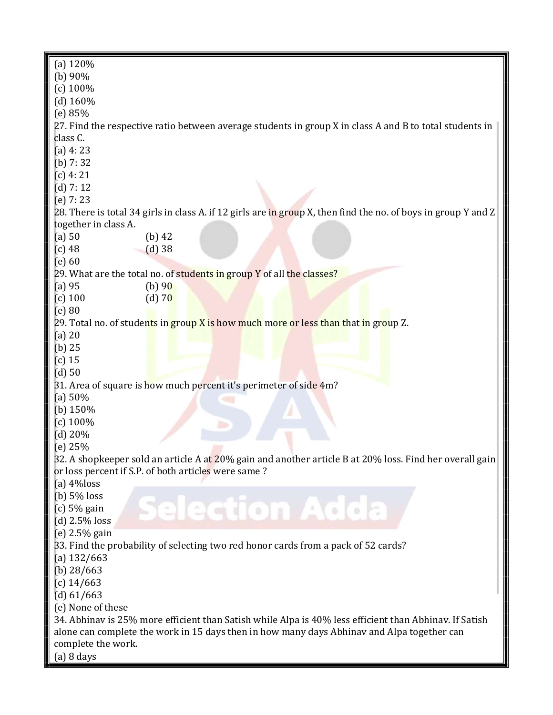| (a) $120%$                                                                                              |                                                                                                                |  |  |  |  |  |
|---------------------------------------------------------------------------------------------------------|----------------------------------------------------------------------------------------------------------------|--|--|--|--|--|
| (b) $90\%$                                                                                              |                                                                                                                |  |  |  |  |  |
| $(c)$ 100%                                                                                              |                                                                                                                |  |  |  |  |  |
| (d) $160%$                                                                                              |                                                                                                                |  |  |  |  |  |
| (e) 85%                                                                                                 |                                                                                                                |  |  |  |  |  |
| 27. Find the respective ratio between average students in group X in class A and B to total students in |                                                                                                                |  |  |  |  |  |
| class C.                                                                                                |                                                                                                                |  |  |  |  |  |
| $(a)$ 4: 23                                                                                             |                                                                                                                |  |  |  |  |  |
| (b) $7:32$                                                                                              |                                                                                                                |  |  |  |  |  |
| $(c)$ 4: 21                                                                                             |                                                                                                                |  |  |  |  |  |
| $(d)$ 7: 12                                                                                             |                                                                                                                |  |  |  |  |  |
| $(e)$ 7: 23                                                                                             |                                                                                                                |  |  |  |  |  |
|                                                                                                         | 28. There is total 34 girls in class A. if 12 girls are in group X, then find the no. of boys in group Y and Z |  |  |  |  |  |
| together in class A.                                                                                    |                                                                                                                |  |  |  |  |  |
| $(a)$ 50                                                                                                | $(b)$ 42                                                                                                       |  |  |  |  |  |
| $(c)$ 48                                                                                                | $(d)$ 38                                                                                                       |  |  |  |  |  |
| $(e)$ 60                                                                                                |                                                                                                                |  |  |  |  |  |
|                                                                                                         |                                                                                                                |  |  |  |  |  |
|                                                                                                         | 29. What are the total no. of students in group Y of all the classes?                                          |  |  |  |  |  |
| $(a)$ 95                                                                                                | (b) $90$                                                                                                       |  |  |  |  |  |
| $(c)$ 100                                                                                               | $(d)$ 70                                                                                                       |  |  |  |  |  |
| $(e)$ 80                                                                                                |                                                                                                                |  |  |  |  |  |
|                                                                                                         | 29. Total no. of students in group X is how much more or less than that in group Z.                            |  |  |  |  |  |
| $(a)$ 20                                                                                                |                                                                                                                |  |  |  |  |  |
| $(b)$ 25                                                                                                |                                                                                                                |  |  |  |  |  |
| $(c)$ 15                                                                                                |                                                                                                                |  |  |  |  |  |
| $(d)$ 50                                                                                                |                                                                                                                |  |  |  |  |  |
|                                                                                                         | 31. Area of square is how much percent it's perimeter of side 4m?                                              |  |  |  |  |  |
| (a) $50%$                                                                                               |                                                                                                                |  |  |  |  |  |
| (b) $150%$                                                                                              |                                                                                                                |  |  |  |  |  |
| $(c)$ 100%                                                                                              |                                                                                                                |  |  |  |  |  |
| $(d)$ 20%                                                                                               |                                                                                                                |  |  |  |  |  |
| (e) 25%                                                                                                 |                                                                                                                |  |  |  |  |  |
|                                                                                                         | 32. A shopkeeper sold an article A at 20% gain and another article B at 20% loss. Find her overall gain        |  |  |  |  |  |
|                                                                                                         | or loss percent if S.P. of both articles were same?                                                            |  |  |  |  |  |
| (a) $4\%$ loss                                                                                          |                                                                                                                |  |  |  |  |  |
| $(b)$ 5% loss                                                                                           |                                                                                                                |  |  |  |  |  |
| $(c)$ 5% gain                                                                                           | election Add                                                                                                   |  |  |  |  |  |
| (d) $2.5\%$ loss                                                                                        |                                                                                                                |  |  |  |  |  |
| (e) $2.5\%$ gain                                                                                        |                                                                                                                |  |  |  |  |  |
| 33. Find the probability of selecting two red honor cards from a pack of 52 cards?                      |                                                                                                                |  |  |  |  |  |
| (a) $132/663$                                                                                           |                                                                                                                |  |  |  |  |  |
| (b) $28/663$                                                                                            |                                                                                                                |  |  |  |  |  |
| $(c)$ 14/663                                                                                            |                                                                                                                |  |  |  |  |  |
| (d) 61/663                                                                                              |                                                                                                                |  |  |  |  |  |
| (e) None of these                                                                                       |                                                                                                                |  |  |  |  |  |
| 34. Abhinav is 25% more efficient than Satish while Alpa is 40% less efficient than Abhinav. If Satish  |                                                                                                                |  |  |  |  |  |
|                                                                                                         | alone can complete the work in 15 days then in how many days Abhinav and Alpa together can                     |  |  |  |  |  |
| complete the work.                                                                                      |                                                                                                                |  |  |  |  |  |
| $(a)$ 8 days                                                                                            |                                                                                                                |  |  |  |  |  |
|                                                                                                         |                                                                                                                |  |  |  |  |  |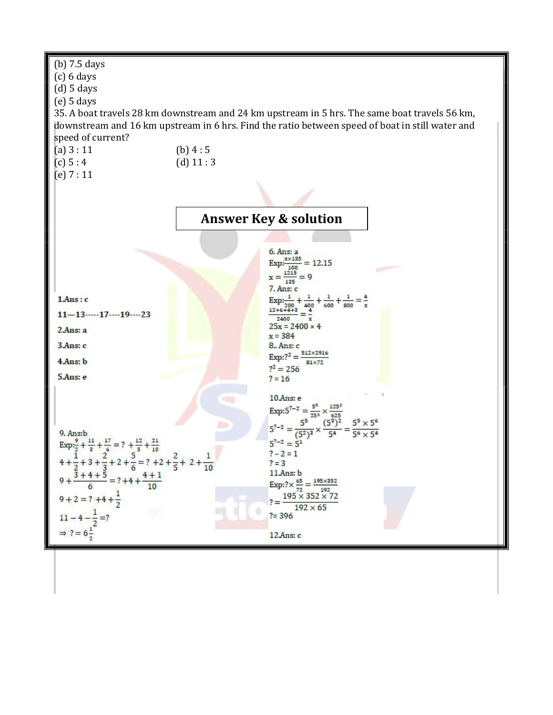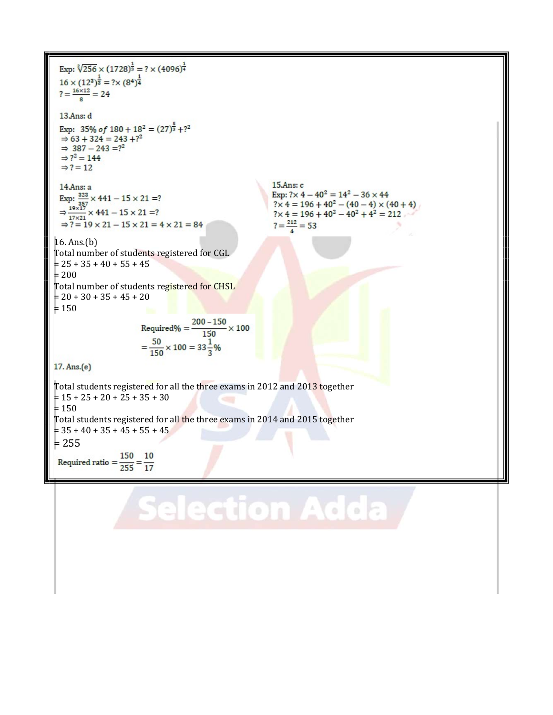Exp:  $\sqrt[2]{256} \times (1728)^{\frac{1}{3}} = ? \times (4096)^{\frac{1}{4}}$  $16 \times (12^2)^{\frac{1}{2}} = ? \times (8^4)^{\frac{1}{4}}$  $? = \frac{16 \times 12}{8} = 24$ 13 Ans: d Exp: 35% of  $180 + 18^2 = (27)^{\frac{5}{3}} + ?^2$  $\Rightarrow$  63 + 324 = 243 +?<sup>2</sup><br> $\Rightarrow$  387 - 243 =?<sup>2</sup>  $\Rightarrow$  ?  $2 = 144$  $\Rightarrow$  ? = 12  $15.Ans: c$  $14$ Ans: a Exp:  $\frac{228}{357} \times 441 - 15 \times 21 = ?$ <br>  $\Rightarrow \frac{19 \times 17}{17 \times 21} \times 441 - 15 \times 21 = ?$ Exp:  $? \times 4 - 40^2 = 14^2 - 36 \times 44$  $? \times 4 = 196 + 40^2 - (40 - 4) \times (40 + 4)$ <br> $? \times 4 = 196 + 40^2 - 40^2 + 4^2 = 212$  $? = \frac{212}{ } = 53$  $\Rightarrow$  ? = 19  $\times$  21 - 15  $\times$  21 = 4  $\times$  21 = 84 16. Ans.(b) Total number of students registered for CGL  $= 25 + 35 + 40 + 55 + 45$  $= 200$ Total number of students registered for CHSL  $= 20 + 30 + 35 + 45 + 20$  $= 150$ Required% =  $\frac{200 - 150}{150} \times 100$  $=\frac{50}{150}\times 100 = 33\frac{1}{3}\%$ 17. Ans.(e) Total students registered for all the three exams in 2012 and 2013 together  $= 15 + 25 + 20 + 25 + 35 + 30$  $= 150$ Total students registered for all the three exams in 2014 and 2015 together  $= 35 + 40 + 35 + 45 + 55 + 45$  $= 255$ Required ratio  $=$   $\frac{150}{255}$   $=$   $\frac{10}{17}$ 

Selection Adda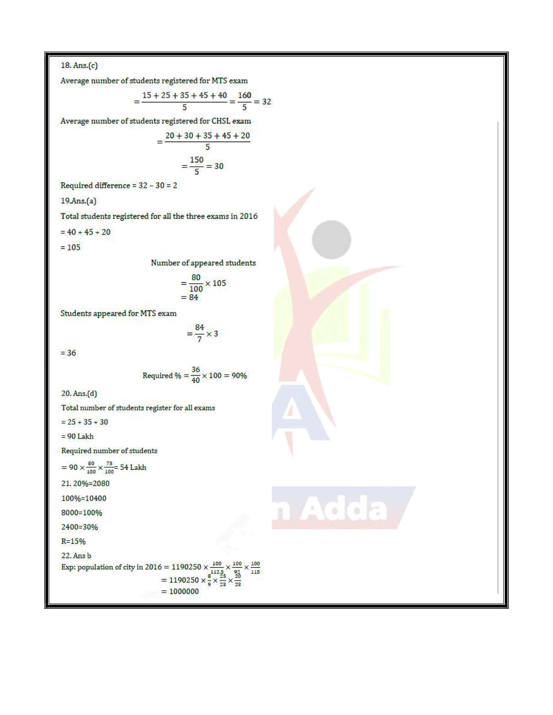$18. Ans.(c)$ 

Average number of students registered for MTS exam

$$
=\frac{15+25+35+45+40}{5}=\frac{160}{5}=32
$$

Average number of students registered for CHSL exam

$$
=\frac{20+30+35+45+20}{5}
$$

$$
=\frac{150}{5}=30
$$

Required difference =  $32 - 30 = 2$ 

 $19.Ans.(a)$ 

Total students registered for all the three exams in 2016

 $= 40 + 45 + 20$ 

 $= 105$ 

Number of appeared students

$$
=\frac{80}{100}\times105
$$

$$
=84
$$

 $=\frac{84}{7} \times 3$ 

Students appeared for MTS exam

 $=$  36

Required 
$$
\% = \frac{36}{40} \times 100 = 90\%
$$

dda

 $\mathbb{Z}^d$ 

 $20. Ans.(d)$ 

Total number of students register for all exams

 $= 25 + 35 + 30$ 

 $= 90$  Lakh

Required number of students

$$
= 90 \times \frac{100}{100} \times \frac{100}{100} = 54
$$
 Lakh  
21. 20%=2080  
100%=10400  
8000=100%  
2400=30%

 $R = 15%$ 

22. Ans b

Exp: population of city in 2016 = 1190250  $\times \frac{100}{112.5} \times \frac{100}{92} \times \frac{100}{115}$ <br>= 1190250  $\times \frac{8}{9} \times \frac{25}{23} \times \frac{20}{23}$ <br>= 1000000  $= 1000000$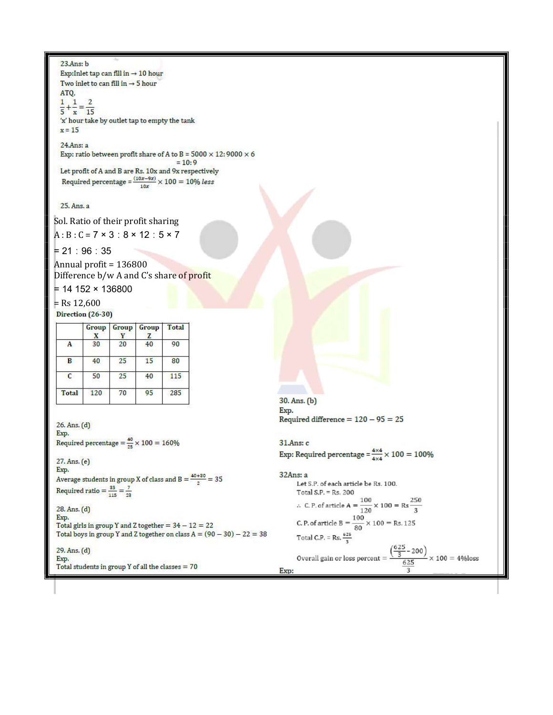#### $23$ Ans:  $b$

Exp:Inlet tap can fill in  $\rightarrow 10$  hour Two inlet to can fill in  $\rightarrow$  5 hour ATQ.  $\frac{1}{5} + \frac{1}{x} = \frac{2}{15}$ 

'x' hour take by outlet tap to empty the tank  $x = 15$ 

24.Ans: a

Exp: ratio between profit share of A to B =  $5000 \times 12:9000 \times 6$ 

 $= 10:9$ Let profit of A and B are Rs. 10x and 9x respectively Required percentage  $= \frac{(10x-9x)}{10x} \times 100 = 10\%$  less

## 25. Ans. a

Sol. Ratio of their profit sharing

 $A : B : C = 7 \times 3 : 8 \times 12 : 5 \times 7$ 

= 21 ∶ 96 ∶ 35

Annual profit = 136800 Difference b/w A and C's share of profit

 $= 14 152 \times 136800$ 

 $=$  Rs 12,600 Direction (26-30)

|       | Group<br>x | Group | Group<br>z | Total |
|-------|------------|-------|------------|-------|
|       | 30         | 20    | 40         | 90    |
| B     | 40         | 25    | 15         | 80    |
| C     | 50         | 25    | 40         | 115   |
| Total | 120        | 70    | 95         | 285   |

26. Ans. (d) Exp. Required percentage =  $\frac{40}{25} \times 100 = 160\%$ 

27. Ans. (e) Exp. Average students in group X of class and B =  $\frac{40+30}{2}$  = 35 Required ratio =  $\frac{35}{115} = \frac{7}{23}$ 

28. Ans. (d) Exp.

Total girls in group Y and Z together =  $34 - 12 = 22$ Total boys in group Y and Z together on class  $A = (90 - 30) - 22 = 38$ 

29. Ans. (d) Exp. Total students in group Y of all the classes  $= 70$ 

30. Ans. (b) Exp. Required difference =  $120 - 95 = 25$ 

### 31.Ans: c

Exp: Required percentage =  $\frac{4 \times 4}{4 \times 4} \times 100 = 100\%$ 

 $32Ans: a$ Let S.P. of each article be Rs. 100. Total S.P. =  $Rs. 200$ :. C.P. of article A =  $\frac{100}{120} \times 100 = \text{Rs } \frac{250}{3}$ <br>C.P. of article B =  $\frac{100}{80} \times 100 = \text{Rs } 125$ Total C.P. = Rs.  $\frac{625}{8}$ Overall gain or loss percent =  $\frac{\left( \frac{625}{3} - 200 \right)}{625} \times 100 = 4\%$  loss Exp: